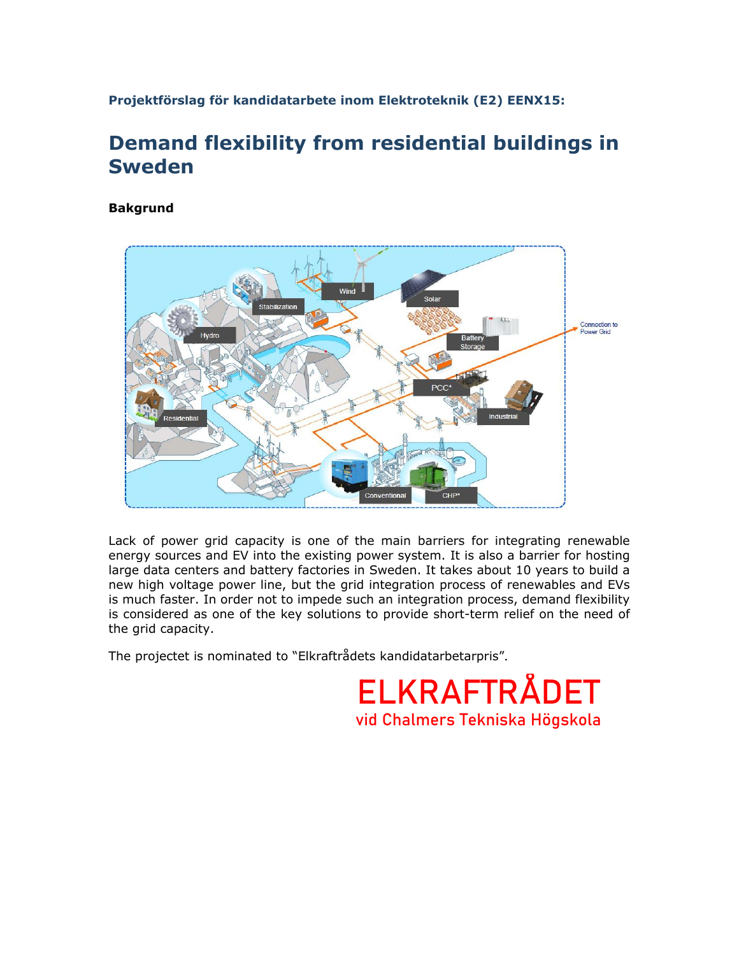**Projektförslag för kandidatarbete inom Elektroteknik (E2) EENX15:**

## **Demand flexibility from residential buildings in Sweden**

**Bakgrund**



Lack of power grid capacity is one of the main barriers for integrating renewable energy sources and EV into the existing power system. It is also a barrier for hosting large data centers and battery factories in Sweden. It takes about 10 years to build a new high voltage power line, but the grid integration process of renewables and EVs is much faster. In order not to impede such an integration process, demand flexibility is considered as one of the key solutions to provide short-term relief on the need of the grid capacity.

The projectet is nominated to "Elkraftrådets kandidatarbetarpris".

**ELKRAFTRÅDET** vid Chalmers Tekniska Högskola